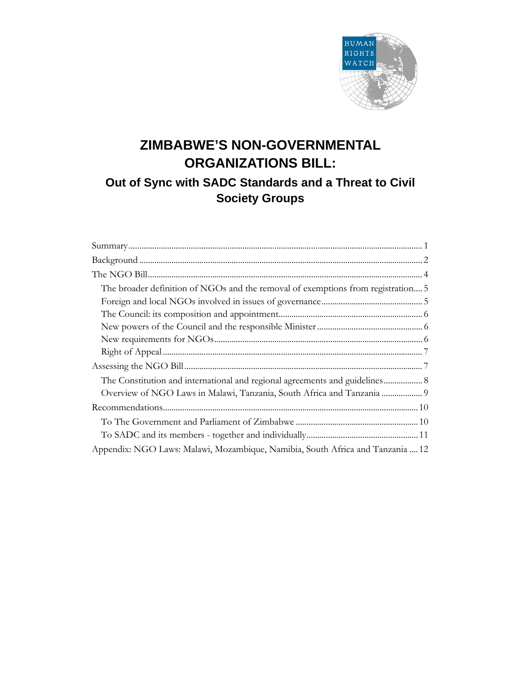

# **ZIMBABWE'S NON-GOVERNMENTAL ORGANIZATIONS BILL:**

## **Out of Sync with SADC Standards and a Threat to Civil Society Groups**

| The broader definition of NGOs and the removal of exemptions from registration 5 |
|----------------------------------------------------------------------------------|
|                                                                                  |
|                                                                                  |
|                                                                                  |
|                                                                                  |
|                                                                                  |
|                                                                                  |
| The Constitution and international and regional agreements and guidelines 8      |
|                                                                                  |
|                                                                                  |
|                                                                                  |
|                                                                                  |
| Appendix: NGO Laws: Malawi, Mozambique, Namibia, South Africa and Tanzania  12   |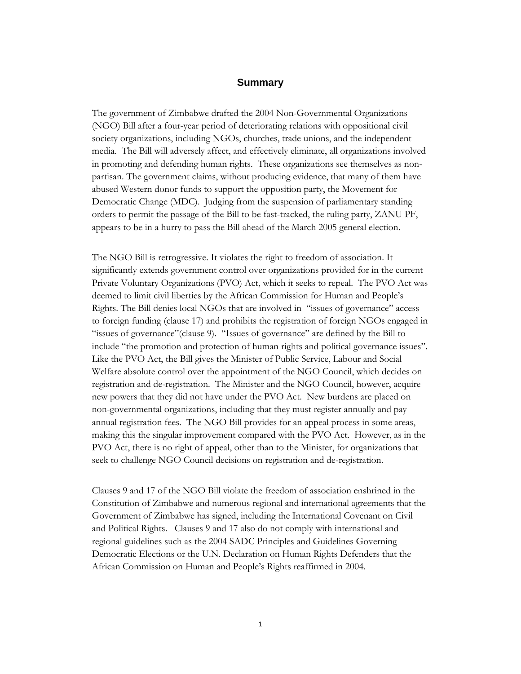#### **Summary**

The government of Zimbabwe drafted the 2004 Non-Governmental Organizations (NGO) Bill after a four-year period of deteriorating relations with oppositional civil society organizations, including NGOs, churches, trade unions, and the independent media. The Bill will adversely affect, and effectively eliminate, all organizations involved in promoting and defending human rights. These organizations see themselves as nonpartisan. The government claims, without producing evidence, that many of them have abused Western donor funds to support the opposition party, the Movement for Democratic Change (MDC). Judging from the suspension of parliamentary standing orders to permit the passage of the Bill to be fast-tracked, the ruling party, ZANU PF, appears to be in a hurry to pass the Bill ahead of the March 2005 general election.

The NGO Bill is retrogressive. It violates the right to freedom of association. It significantly extends government control over organizations provided for in the current Private Voluntary Organizations (PVO) Act, which it seeks to repeal. The PVO Act was deemed to limit civil liberties by the African Commission for Human and People's Rights. The Bill denies local NGOs that are involved in "issues of governance" access to foreign funding (clause 17) and prohibits the registration of foreign NGOs engaged in "issues of governance"(clause 9). "Issues of governance" are defined by the Bill to include "the promotion and protection of human rights and political governance issues". Like the PVO Act, the Bill gives the Minister of Public Service, Labour and Social Welfare absolute control over the appointment of the NGO Council, which decides on registration and de-registration. The Minister and the NGO Council, however, acquire new powers that they did not have under the PVO Act. New burdens are placed on non-governmental organizations, including that they must register annually and pay annual registration fees. The NGO Bill provides for an appeal process in some areas, making this the singular improvement compared with the PVO Act. However, as in the PVO Act, there is no right of appeal, other than to the Minister, for organizations that seek to challenge NGO Council decisions on registration and de-registration.

Clauses 9 and 17 of the NGO Bill violate the freedom of association enshrined in the Constitution of Zimbabwe and numerous regional and international agreements that the Government of Zimbabwe has signed, including the International Covenant on Civil and Political Rights. Clauses 9 and 17 also do not comply with international and regional guidelines such as the 2004 SADC Principles and Guidelines Governing Democratic Elections or the U.N. Declaration on Human Rights Defenders that the African Commission on Human and People's Rights reaffirmed in 2004.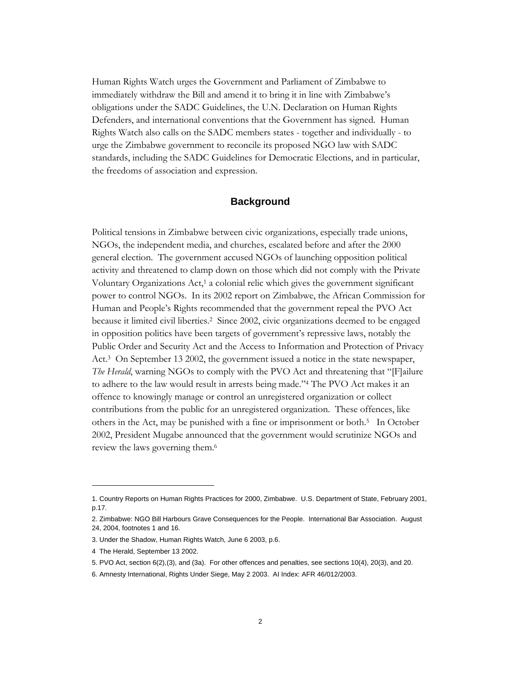Human Rights Watch urges the Government and Parliament of Zimbabwe to immediately withdraw the Bill and amend it to bring it in line with Zimbabwe's obligations under the SADC Guidelines, the U.N. Declaration on Human Rights Defenders, and international conventions that the Government has signed. Human Rights Watch also calls on the SADC members states - together and individually - to urge the Zimbabwe government to reconcile its proposed NGO law with SADC standards, including the SADC Guidelines for Democratic Elections, and in particular, the freedoms of association and expression.

## **Background**

Political tensions in Zimbabwe between civic organizations, especially trade unions, NGOs, the independent media, and churches, escalated before and after the 2000 general election. The government accused NGOs of launching opposition political activity and threatened to clamp down on those which did not comply with the Private Voluntary Organizations Act,1 a colonial relic which gives the government significant power to control NGOs. In its 2002 report on Zimbabwe, the African Commission for Human and People's Rights recommended that the government repeal the PVO Act because it limited civil liberties.2 Since 2002, civic organizations deemed to be engaged in opposition politics have been targets of government's repressive laws, notably the Public Order and Security Act and the Access to Information and Protection of Privacy Act.3 On September 13 2002, the government issued a notice in the state newspaper, *The Herald*, warning NGOs to comply with the PVO Act and threatening that "[F]ailure to adhere to the law would result in arrests being made."4 The PVO Act makes it an offence to knowingly manage or control an unregistered organization or collect contributions from the public for an unregistered organization. These offences, like others in the Act, may be punished with a fine or imprisonment or both.5 In October 2002, President Mugabe announced that the government would scrutinize NGOs and review the laws governing them.6

<sup>1.</sup> Country Reports on Human Rights Practices for 2000, Zimbabwe. U.S. Department of State, February 2001, p.17.

<sup>2.</sup> Zimbabwe: NGO Bill Harbours Grave Consequences for the People. International Bar Association. August 24, 2004, footnotes 1 and 16.

<sup>3.</sup> Under the Shadow, Human Rights Watch, June 6 2003, p.6.

<sup>4</sup> The Herald, September 13 2002.

<sup>5.</sup> PVO Act, section 6(2),(3), and (3a). For other offences and penalties, see sections 10(4), 20(3), and 20.

<sup>6.</sup> Amnesty International, Rights Under Siege, May 2 2003. AI Index: AFR 46/012/2003.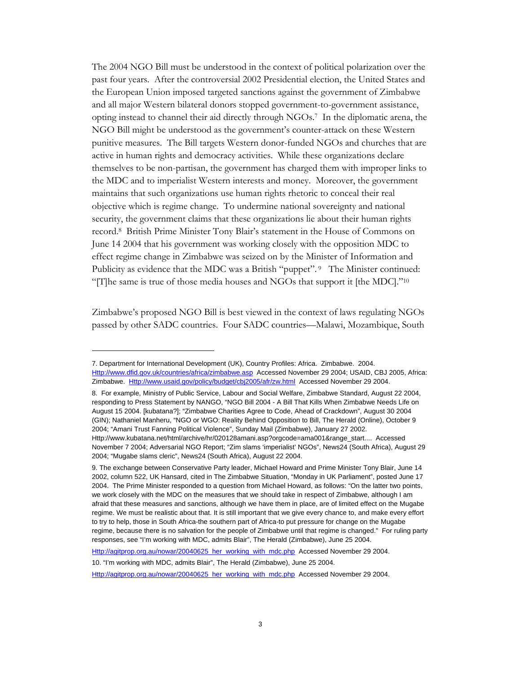The 2004 NGO Bill must be understood in the context of political polarization over the past four years. After the controversial 2002 Presidential election, the United States and the European Union imposed targeted sanctions against the government of Zimbabwe and all major Western bilateral donors stopped government-to-government assistance, opting instead to channel their aid directly through NGOs.7 In the diplomatic arena, the NGO Bill might be understood as the government's counter-attack on these Western punitive measures. The Bill targets Western donor-funded NGOs and churches that are active in human rights and democracy activities. While these organizations declare themselves to be non-partisan, the government has charged them with improper links to the MDC and to imperialist Western interests and money. Moreover, the government maintains that such organizations use human rights rhetoric to conceal their real objective which is regime change. To undermine national sovereignty and national security, the government claims that these organizations lie about their human rights record.8 British Prime Minister Tony Blair's statement in the House of Commons on June 14 2004 that his government was working closely with the opposition MDC to effect regime change in Zimbabwe was seized on by the Minister of Information and Publicity as evidence that the MDC was a British "puppet".<sup>9</sup> The Minister continued: "[T]he same is true of those media houses and NGOs that support it [the MDC]."10

Zimbabwe's proposed NGO Bill is best viewed in the context of laws regulating NGOs passed by other SADC countries. Four SADC countries—Malawi, Mozambique, South

Http://agitprop.org.au/nowar/20040625\_her\_working\_with\_mdc.php Accessed November 29 2004.

10. "I'm working with MDC, admits Blair", The Herald (Zimbabwe), June 25 2004.

-

Http://agitprop.org.au/nowar/20040625\_her\_working\_with\_mdc.php Accessed November 29 2004.

<sup>7.</sup> Department for International Development (UK), Country Profiles: Africa. Zimbabwe. 2004. Http://www.dfid.gov.uk/countries/africa/zimbabwe.asp Accessed November 29 2004; USAID, CBJ 2005, Africa: Zimbabwe. Http://www.usaid.gov/policy/budget/cbj2005/afr/zw.html Accessed November 29 2004.

<sup>8.</sup> For example, Ministry of Public Service, Labour and Social Welfare, Zimbabwe Standard, August 22 2004, responding to Press Statement by NANGO, "NGO Bill 2004 - A Bill That Kills When Zimbabwe Needs Life on August 15 2004. [kubatana?]; "Zimbabwe Charities Agree to Code, Ahead of Crackdown", August 30 2004 (GIN); Nathaniel Manheru, "NGO or WGO: Reality Behind Opposition to Bill, The Herald (Online), October 9 2004; "Amani Trust Fanning Political Violence", Sunday Mail (Zimbabwe), January 27 2002. Http://www.kubatana.net/html/archive/hr/020128amani.asp?orgcode=ama001&range\_start.... Accessed

November 7 2004; Adversarial NGO Report; "Zim slams 'imperialist' NGOs", News24 (South Africa), August 29 2004; "Mugabe slams cleric", News24 (South Africa), August 22 2004.

<sup>9.</sup> The exchange between Conservative Party leader, Michael Howard and Prime Minister Tony Blair, June 14 2002, column 522, UK Hansard, cited in The Zimbabwe Situation, "Monday in UK Parliament", posted June 17 2004. The Prime Minister responded to a question from Michael Howard, as follows: "On the latter two points, we work closely with the MDC on the measures that we should take in respect of Zimbabwe, although I am afraid that these measures and sanctions, although we have them in place, are of limited effect on the Mugabe regime. We must be realistic about that. It is still important that we give every chance to, and make every effort to try to help, those in South Africa-the southern part of Africa-to put pressure for change on the Mugabe regime, because there is no salvation for the people of Zimbabwe until that regime is changed." For ruling party responses, see "I'm working with MDC, admits Blair", The Herald (Zimbabwe), June 25 2004.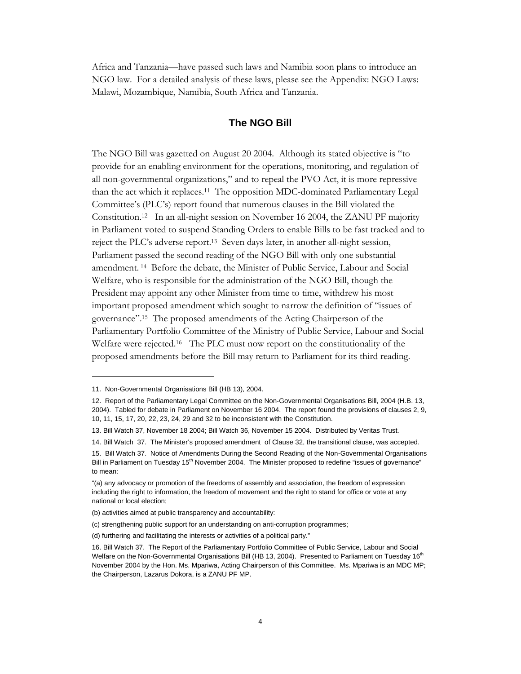Africa and Tanzania—have passed such laws and Namibia soon plans to introduce an NGO law. For a detailed analysis of these laws, please see the Appendix: NGO Laws: Malawi, Mozambique, Namibia, South Africa and Tanzania.

## **The NGO Bill**

The NGO Bill was gazetted on August 20 2004. Although its stated objective is "to provide for an enabling environment for the operations, monitoring, and regulation of all non-governmental organizations," and to repeal the PVO Act, it is more repressive than the act which it replaces.11 The opposition MDC-dominated Parliamentary Legal Committee's (PLC's) report found that numerous clauses in the Bill violated the Constitution.12 In an all-night session on November 16 2004, the ZANU PF majority in Parliament voted to suspend Standing Orders to enable Bills to be fast tracked and to reject the PLC's adverse report.13 Seven days later, in another all-night session, Parliament passed the second reading of the NGO Bill with only one substantial amendment. 14 Before the debate, the Minister of Public Service, Labour and Social Welfare, who is responsible for the administration of the NGO Bill, though the President may appoint any other Minister from time to time, withdrew his most important proposed amendment which sought to narrow the definition of "issues of governance".15 The proposed amendments of the Acting Chairperson of the Parliamentary Portfolio Committee of the Ministry of Public Service, Labour and Social Welfare were rejected.<sup>16</sup> The PLC must now report on the constitutionality of the proposed amendments before the Bill may return to Parliament for its third reading.

<sup>11.</sup> Non-Governmental Organisations Bill (HB 13), 2004.

<sup>12.</sup> Report of the Parliamentary Legal Committee on the Non-Governmental Organisations Bill, 2004 (H.B. 13, 2004). Tabled for debate in Parliament on November 16 2004. The report found the provisions of clauses 2, 9, 10, 11, 15, 17, 20, 22, 23, 24, 29 and 32 to be inconsistent with the Constitution.

<sup>13.</sup> Bill Watch 37, November 18 2004; Bill Watch 36, November 15 2004. Distributed by Veritas Trust.

<sup>14.</sup> Bill Watch 37. The Minister's proposed amendment of Clause 32, the transitional clause, was accepted.

<sup>15.</sup> Bill Watch 37. Notice of Amendments During the Second Reading of the Non-Governmental Organisations Bill in Parliament on Tuesday 15<sup>th</sup> November 2004. The Minister proposed to redefine "issues of governance" to mean:

<sup>&</sup>quot;(a) any advocacy or promotion of the freedoms of assembly and association, the freedom of expression including the right to information, the freedom of movement and the right to stand for office or vote at any national or local election;

<sup>(</sup>b) activities aimed at public transparency and accountability:

<sup>(</sup>c) strengthening public support for an understanding on anti-corruption programmes;

<sup>(</sup>d) furthering and facilitating the interests or activities of a political party."

<sup>16.</sup> Bill Watch 37. The Report of the Parliamentary Portfolio Committee of Public Service, Labour and Social Welfare on the Non-Governmental Organisations Bill (HB 13, 2004). Presented to Parliament on Tuesday 16<sup>th</sup> November 2004 by the Hon. Ms. Mpariwa, Acting Chairperson of this Committee. Ms. Mpariwa is an MDC MP; the Chairperson, Lazarus Dokora, is a ZANU PF MP.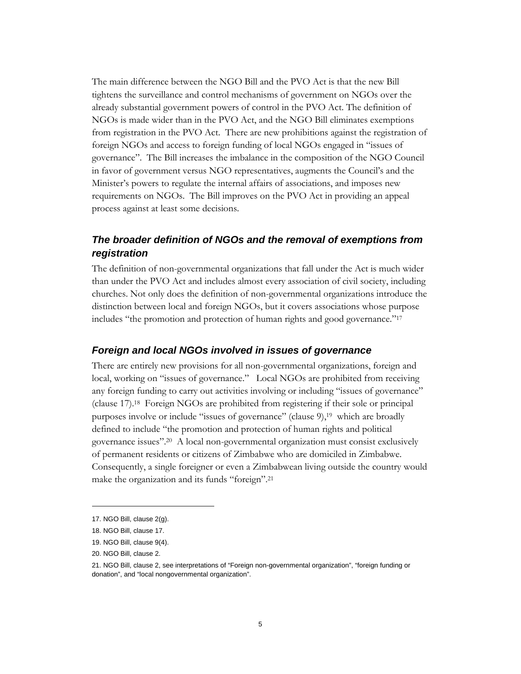The main difference between the NGO Bill and the PVO Act is that the new Bill tightens the surveillance and control mechanisms of government on NGOs over the already substantial government powers of control in the PVO Act. The definition of NGOs is made wider than in the PVO Act, and the NGO Bill eliminates exemptions from registration in the PVO Act. There are new prohibitions against the registration of foreign NGOs and access to foreign funding of local NGOs engaged in "issues of governance". The Bill increases the imbalance in the composition of the NGO Council in favor of government versus NGO representatives, augments the Council's and the Minister's powers to regulate the internal affairs of associations, and imposes new requirements on NGOs. The Bill improves on the PVO Act in providing an appeal process against at least some decisions.

## *The broader definition of NGOs and the removal of exemptions from registration*

The definition of non-governmental organizations that fall under the Act is much wider than under the PVO Act and includes almost every association of civil society, including churches. Not only does the definition of non-governmental organizations introduce the distinction between local and foreign NGOs, but it covers associations whose purpose includes "the promotion and protection of human rights and good governance."17

## *Foreign and local NGOs involved in issues of governance*

There are entirely new provisions for all non-governmental organizations, foreign and local, working on "issues of governance." Local NGOs are prohibited from receiving any foreign funding to carry out activities involving or including "issues of governance" (clause 17).18 Foreign NGOs are prohibited from registering if their sole or principal purposes involve or include "issues of governance" (clause 9),<sup>19</sup> which are broadly defined to include "the promotion and protection of human rights and political governance issues".20 A local non-governmental organization must consist exclusively of permanent residents or citizens of Zimbabwe who are domiciled in Zimbabwe. Consequently, a single foreigner or even a Zimbabwean living outside the country would make the organization and its funds "foreign".21

<sup>17.</sup> NGO Bill, clause 2(g).

<sup>18.</sup> NGO Bill, clause 17.

<sup>19.</sup> NGO Bill, clause 9(4).

<sup>20.</sup> NGO Bill, clause 2.

<sup>21.</sup> NGO Bill, clause 2, see interpretations of "Foreign non-governmental organization", "foreign funding or donation", and "local nongovernmental organization".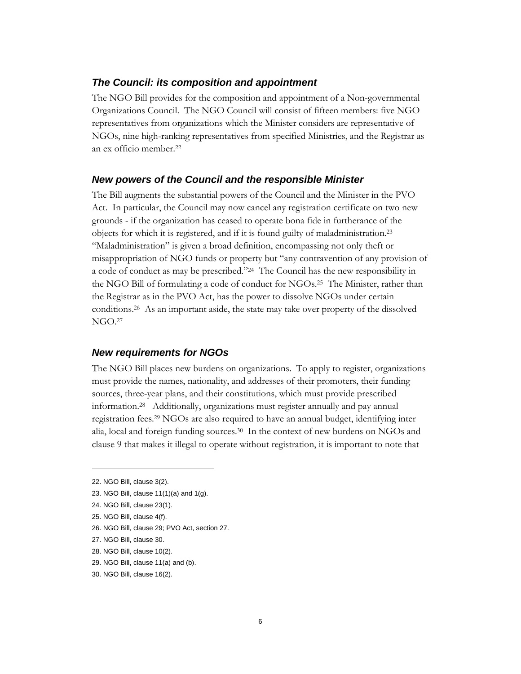## *The Council: its composition and appointment*

The NGO Bill provides for the composition and appointment of a Non-governmental Organizations Council. The NGO Council will consist of fifteen members: five NGO representatives from organizations which the Minister considers are representative of NGOs, nine high-ranking representatives from specified Ministries, and the Registrar as an ex officio member.22

#### *New powers of the Council and the responsible Minister*

The Bill augments the substantial powers of the Council and the Minister in the PVO Act. In particular, the Council may now cancel any registration certificate on two new grounds - if the organization has ceased to operate bona fide in furtherance of the objects for which it is registered, and if it is found guilty of maladministration.23 "Maladministration" is given a broad definition, encompassing not only theft or misappropriation of NGO funds or property but "any contravention of any provision of a code of conduct as may be prescribed."24 The Council has the new responsibility in the NGO Bill of formulating a code of conduct for NGOs.25 The Minister, rather than the Registrar as in the PVO Act, has the power to dissolve NGOs under certain conditions.26 As an important aside, the state may take over property of the dissolved NGO.27

#### *New requirements for NGOs*

The NGO Bill places new burdens on organizations. To apply to register, organizations must provide the names, nationality, and addresses of their promoters, their funding sources, three-year plans, and their constitutions, which must provide prescribed information.28 Additionally, organizations must register annually and pay annual registration fees.29 NGOs are also required to have an annual budget, identifying inter alia, local and foreign funding sources.30 In the context of new burdens on NGOs and clause 9 that makes it illegal to operate without registration, it is important to note that

<sup>22.</sup> NGO Bill, clause 3(2).

<sup>23.</sup> NGO Bill, clause 11(1)(a) and 1(g).

<sup>24.</sup> NGO Bill, clause 23(1).

<sup>25.</sup> NGO Bill, clause 4(f).

<sup>26.</sup> NGO Bill, clause 29; PVO Act, section 27.

<sup>27.</sup> NGO Bill, clause 30.

<sup>28.</sup> NGO Bill, clause 10(2).

<sup>29.</sup> NGO Bill, clause 11(a) and (b).

<sup>30.</sup> NGO Bill, clause 16(2).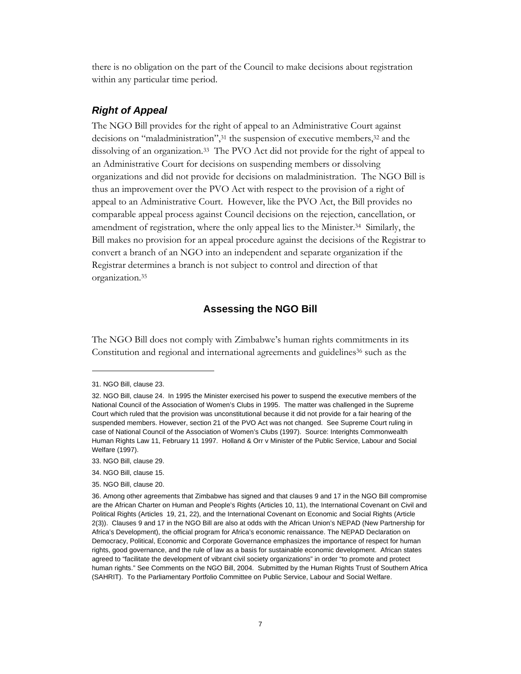there is no obligation on the part of the Council to make decisions about registration within any particular time period.

## *Right of Appeal*

The NGO Bill provides for the right of appeal to an Administrative Court against decisions on "maladministration",<sup>31</sup> the suspension of executive members,<sup>32</sup> and the dissolving of an organization.33 The PVO Act did not provide for the right of appeal to an Administrative Court for decisions on suspending members or dissolving organizations and did not provide for decisions on maladministration. The NGO Bill is thus an improvement over the PVO Act with respect to the provision of a right of appeal to an Administrative Court. However, like the PVO Act, the Bill provides no comparable appeal process against Council decisions on the rejection, cancellation, or amendment of registration, where the only appeal lies to the Minister.34 Similarly, the Bill makes no provision for an appeal procedure against the decisions of the Registrar to convert a branch of an NGO into an independent and separate organization if the Registrar determines a branch is not subject to control and direction of that organization.35

## **Assessing the NGO Bill**

The NGO Bill does not comply with Zimbabwe's human rights commitments in its Constitution and regional and international agreements and guidelines<sup>36</sup> such as the

<sup>31.</sup> NGO Bill, clause 23.

<sup>32.</sup> NGO Bill, clause 24. In 1995 the Minister exercised his power to suspend the executive members of the National Council of the Association of Women's Clubs in 1995. The matter was challenged in the Supreme Court which ruled that the provision was unconstitutional because it did not provide for a fair hearing of the suspended members. However, section 21 of the PVO Act was not changed. See Supreme Court ruling in case of National Council of the Association of Women's Clubs (1997). Source: Interights Commonwealth Human Rights Law 11, February 11 1997. Holland & Orr v Minister of the Public Service, Labour and Social Welfare (1997).

<sup>33.</sup> NGO Bill, clause 29.

<sup>34.</sup> NGO Bill, clause 15.

<sup>35.</sup> NGO Bill, clause 20.

<sup>36.</sup> Among other agreements that Zimbabwe has signed and that clauses 9 and 17 in the NGO Bill compromise are the African Charter on Human and People's Rights (Articles 10, 11), the International Covenant on Civil and Political Rights (Articles 19, 21, 22), and the International Covenant on Economic and Social Rights (Article 2(3)). Clauses 9 and 17 in the NGO Bill are also at odds with the African Union's NEPAD (New Partnership for Africa's Development), the official program for Africa's economic renaissance. The NEPAD Declaration on Democracy, Political, Economic and Corporate Governance emphasizes the importance of respect for human rights, good governance, and the rule of law as a basis for sustainable economic development. African states agreed to "facilitate the development of vibrant civil society organizations" in order "to promote and protect human rights." See Comments on the NGO Bill, 2004. Submitted by the Human Rights Trust of Southern Africa (SAHRIT). To the Parliamentary Portfolio Committee on Public Service, Labour and Social Welfare.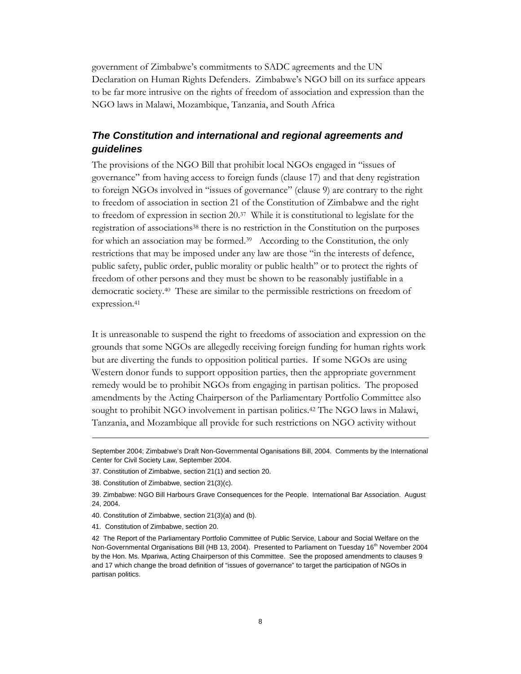government of Zimbabwe's commitments to SADC agreements and the UN Declaration on Human Rights Defenders. Zimbabwe's NGO bill on its surface appears to be far more intrusive on the rights of freedom of association and expression than the NGO laws in Malawi, Mozambique, Tanzania, and South Africa

## *The Constitution and international and regional agreements and guidelines*

The provisions of the NGO Bill that prohibit local NGOs engaged in "issues of governance" from having access to foreign funds (clause 17) and that deny registration to foreign NGOs involved in "issues of governance" (clause 9) are contrary to the right to freedom of association in section 21 of the Constitution of Zimbabwe and the right to freedom of expression in section 20.37 While it is constitutional to legislate for the registration of associations38 there is no restriction in the Constitution on the purposes for which an association may be formed.<sup>39</sup> According to the Constitution, the only restrictions that may be imposed under any law are those "in the interests of defence, public safety, public order, public morality or public health" or to protect the rights of freedom of other persons and they must be shown to be reasonably justifiable in a democratic society.40 These are similar to the permissible restrictions on freedom of expression.<sup>41</sup>

It is unreasonable to suspend the right to freedoms of association and expression on the grounds that some NGOs are allegedly receiving foreign funding for human rights work but are diverting the funds to opposition political parties. If some NGOs are using Western donor funds to support opposition parties, then the appropriate government remedy would be to prohibit NGOs from engaging in partisan politics. The proposed amendments by the Acting Chairperson of the Parliamentary Portfolio Committee also sought to prohibit NGO involvement in partisan politics.42 The NGO laws in Malawi, Tanzania, and Mozambique all provide for such restrictions on NGO activity without

September 2004; Zimbabwe's Draft Non-Governmental Oganisations Bill, 2004. Comments by the International Center for Civil Society Law, September 2004.

<sup>37.</sup> Constitution of Zimbabwe, section 21(1) and section 20.

<sup>38.</sup> Constitution of Zimbabwe, section 21(3)(c).

<sup>39.</sup> Zimbabwe: NGO Bill Harbours Grave Consequences for the People. International Bar Association. August 24, 2004.

<sup>40.</sup> Constitution of Zimbabwe, section 21(3)(a) and (b).

<sup>41.</sup> Constitution of Zimbabwe, section 20.

<sup>42</sup> The Report of the Parliamentary Portfolio Committee of Public Service, Labour and Social Welfare on the Non-Governmental Organisations Bill (HB 13, 2004). Presented to Parliament on Tuesday 16<sup>th</sup> November 2004 by the Hon. Ms. Mpariwa, Acting Chairperson of this Committee. See the proposed amendments to clauses 9 and 17 which change the broad definition of "issues of governance" to target the participation of NGOs in partisan politics.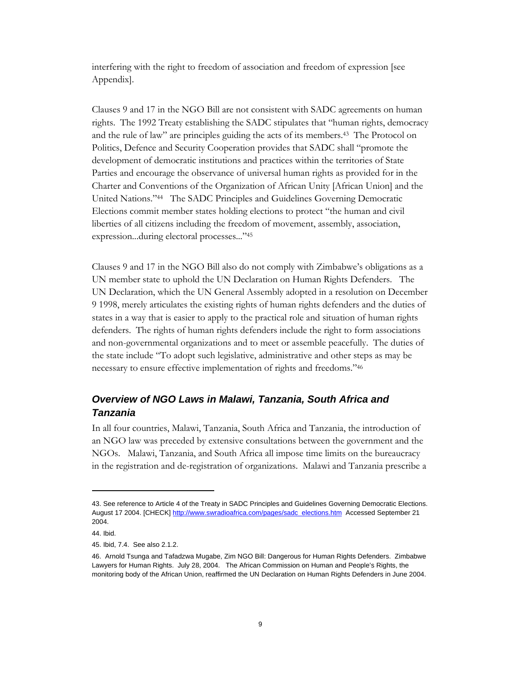interfering with the right to freedom of association and freedom of expression [see Appendix].

Clauses 9 and 17 in the NGO Bill are not consistent with SADC agreements on human rights. The 1992 Treaty establishing the SADC stipulates that "human rights, democracy and the rule of law" are principles guiding the acts of its members.43 The Protocol on Politics, Defence and Security Cooperation provides that SADC shall "promote the development of democratic institutions and practices within the territories of State Parties and encourage the observance of universal human rights as provided for in the Charter and Conventions of the Organization of African Unity [African Union] and the United Nations."44 The SADC Principles and Guidelines Governing Democratic Elections commit member states holding elections to protect "the human and civil liberties of all citizens including the freedom of movement, assembly, association, expression...during electoral processes..."45

Clauses 9 and 17 in the NGO Bill also do not comply with Zimbabwe's obligations as a UN member state to uphold the UN Declaration on Human Rights Defenders. The UN Declaration, which the UN General Assembly adopted in a resolution on December 9 1998, merely articulates the existing rights of human rights defenders and the duties of states in a way that is easier to apply to the practical role and situation of human rights defenders. The rights of human rights defenders include the right to form associations and non-governmental organizations and to meet or assemble peacefully. The duties of the state include "To adopt such legislative, administrative and other steps as may be necessary to ensure effective implementation of rights and freedoms."46

## *Overview of NGO Laws in Malawi, Tanzania, South Africa and Tanzania*

In all four countries, Malawi, Tanzania, South Africa and Tanzania, the introduction of an NGO law was preceded by extensive consultations between the government and the NGOs. Malawi, Tanzania, and South Africa all impose time limits on the bureaucracy in the registration and de-registration of organizations. Malawi and Tanzania prescribe a

<sup>43.</sup> See reference to Article 4 of the Treaty in SADC Principles and Guidelines Governing Democratic Elections. August 17 2004. [CHECK] http://www.swradioafrica.com/pages/sadc\_elections.htm Accessed September 21 2004.

<sup>44.</sup> Ibid.

<sup>45.</sup> Ibid, 7.4. See also 2.1.2.

<sup>46.</sup> Arnold Tsunga and Tafadzwa Mugabe, Zim NGO Bill: Dangerous for Human Rights Defenders. Zimbabwe Lawyers for Human Rights. July 28, 2004. The African Commission on Human and People's Rights, the monitoring body of the African Union, reaffirmed the UN Declaration on Human Rights Defenders in June 2004.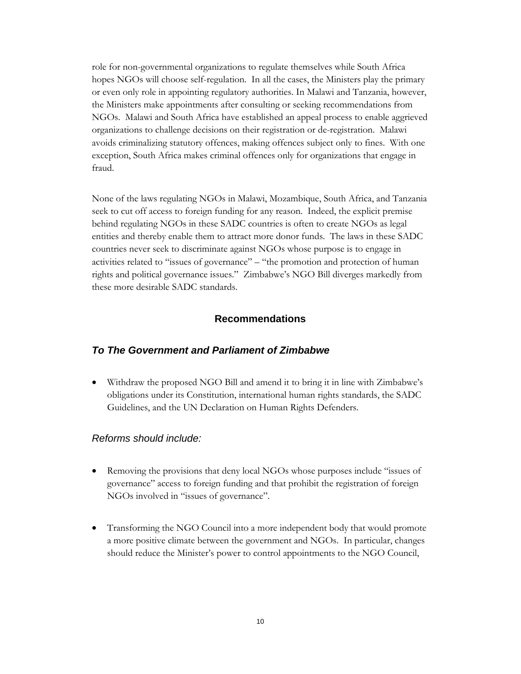role for non-governmental organizations to regulate themselves while South Africa hopes NGOs will choose self-regulation. In all the cases, the Ministers play the primary or even only role in appointing regulatory authorities. In Malawi and Tanzania, however, the Ministers make appointments after consulting or seeking recommendations from NGOs. Malawi and South Africa have established an appeal process to enable aggrieved organizations to challenge decisions on their registration or de-registration. Malawi avoids criminalizing statutory offences, making offences subject only to fines. With one exception, South Africa makes criminal offences only for organizations that engage in fraud.

None of the laws regulating NGOs in Malawi, Mozambique, South Africa, and Tanzania seek to cut off access to foreign funding for any reason. Indeed, the explicit premise behind regulating NGOs in these SADC countries is often to create NGOs as legal entities and thereby enable them to attract more donor funds. The laws in these SADC countries never seek to discriminate against NGOs whose purpose is to engage in activities related to "issues of governance" – "the promotion and protection of human rights and political governance issues." Zimbabwe's NGO Bill diverges markedly from these more desirable SADC standards.

## **Recommendations**

#### *To The Government and Parliament of Zimbabwe*

• Withdraw the proposed NGO Bill and amend it to bring it in line with Zimbabwe's obligations under its Constitution, international human rights standards, the SADC Guidelines, and the UN Declaration on Human Rights Defenders.

#### *Reforms should include:*

- Removing the provisions that deny local NGOs whose purposes include "issues of governance" access to foreign funding and that prohibit the registration of foreign NGOs involved in "issues of governance".
- Transforming the NGO Council into a more independent body that would promote a more positive climate between the government and NGOs. In particular, changes should reduce the Minister's power to control appointments to the NGO Council,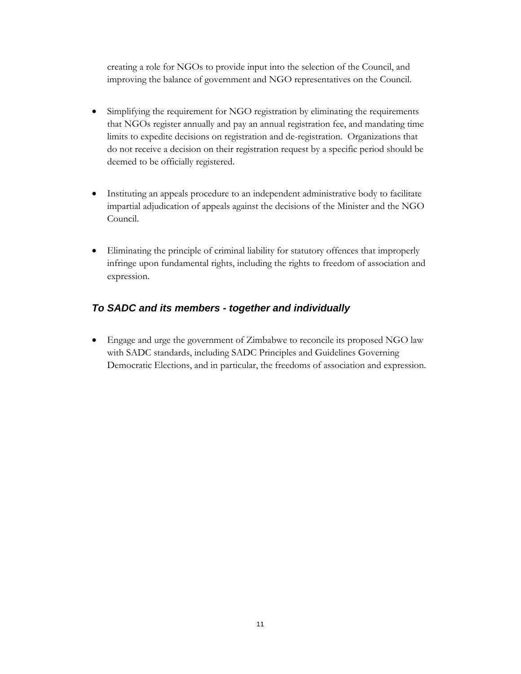creating a role for NGOs to provide input into the selection of the Council, and improving the balance of government and NGO representatives on the Council.

- Simplifying the requirement for NGO registration by eliminating the requirements that NGOs register annually and pay an annual registration fee, and mandating time limits to expedite decisions on registration and de-registration. Organizations that do not receive a decision on their registration request by a specific period should be deemed to be officially registered.
- Instituting an appeals procedure to an independent administrative body to facilitate impartial adjudication of appeals against the decisions of the Minister and the NGO Council.
- Eliminating the principle of criminal liability for statutory offences that improperly infringe upon fundamental rights, including the rights to freedom of association and expression.

## *To SADC and its members - together and individually*

• Engage and urge the government of Zimbabwe to reconcile its proposed NGO law with SADC standards, including SADC Principles and Guidelines Governing Democratic Elections, and in particular, the freedoms of association and expression.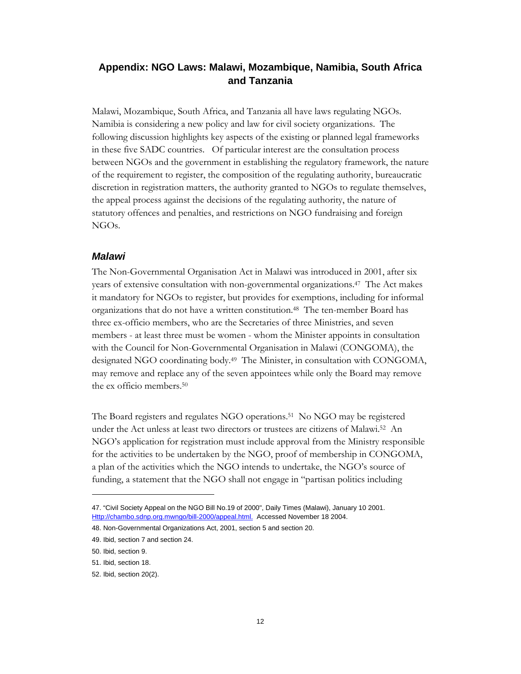## **Appendix: NGO Laws: Malawi, Mozambique, Namibia, South Africa and Tanzania**

Malawi, Mozambique, South Africa, and Tanzania all have laws regulating NGOs. Namibia is considering a new policy and law for civil society organizations. The following discussion highlights key aspects of the existing or planned legal frameworks in these five SADC countries. Of particular interest are the consultation process between NGOs and the government in establishing the regulatory framework, the nature of the requirement to register, the composition of the regulating authority, bureaucratic discretion in registration matters, the authority granted to NGOs to regulate themselves, the appeal process against the decisions of the regulating authority, the nature of statutory offences and penalties, and restrictions on NGO fundraising and foreign NGOs.

#### *Malawi*

The Non-Governmental Organisation Act in Malawi was introduced in 2001, after six years of extensive consultation with non-governmental organizations.47 The Act makes it mandatory for NGOs to register, but provides for exemptions, including for informal organizations that do not have a written constitution.48 The ten-member Board has three ex-officio members, who are the Secretaries of three Ministries, and seven members - at least three must be women - whom the Minister appoints in consultation with the Council for Non-Governmental Organisation in Malawi (CONGOMA), the designated NGO coordinating body.49 The Minister, in consultation with CONGOMA, may remove and replace any of the seven appointees while only the Board may remove the ex officio members.50

The Board registers and regulates NGO operations.<sup>51</sup> No NGO may be registered under the Act unless at least two directors or trustees are citizens of Malawi.52 An NGO's application for registration must include approval from the Ministry responsible for the activities to be undertaken by the NGO, proof of membership in CONGOMA, a plan of the activities which the NGO intends to undertake, the NGO's source of funding, a statement that the NGO shall not engage in "partisan politics including

<sup>47. &</sup>quot;Civil Society Appeal on the NGO Bill No.19 of 2000", Daily Times (Malawi), January 10 2001. Http://chambo.sdnp.org.mwngo/bill-2000/appeal.html. Accessed November 18 2004.

<sup>48.</sup> Non-Governmental Organizations Act, 2001, section 5 and section 20.

<sup>49.</sup> Ibid, section 7 and section 24.

<sup>50.</sup> Ibid, section 9.

<sup>51.</sup> Ibid, section 18.

<sup>52.</sup> Ibid, section 20(2).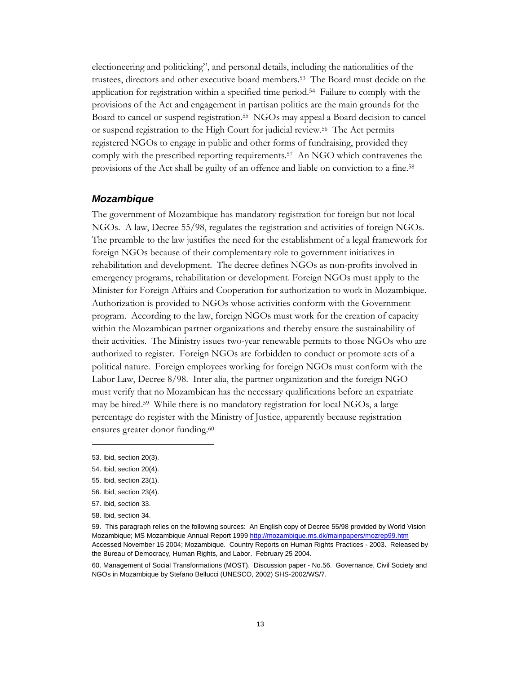electioneering and politicking", and personal details, including the nationalities of the trustees, directors and other executive board members.53 The Board must decide on the application for registration within a specified time period.54 Failure to comply with the provisions of the Act and engagement in partisan politics are the main grounds for the Board to cancel or suspend registration.55 NGOs may appeal a Board decision to cancel or suspend registration to the High Court for judicial review.<sup>56</sup> The Act permits registered NGOs to engage in public and other forms of fundraising, provided they comply with the prescribed reporting requirements.57 An NGO which contravenes the provisions of the Act shall be guilty of an offence and liable on conviction to a fine.58

#### *Mozambique*

The government of Mozambique has mandatory registration for foreign but not local NGOs. A law, Decree 55/98, regulates the registration and activities of foreign NGOs. The preamble to the law justifies the need for the establishment of a legal framework for foreign NGOs because of their complementary role to government initiatives in rehabilitation and development. The decree defines NGOs as non-profits involved in emergency programs, rehabilitation or development. Foreign NGOs must apply to the Minister for Foreign Affairs and Cooperation for authorization to work in Mozambique. Authorization is provided to NGOs whose activities conform with the Government program. According to the law, foreign NGOs must work for the creation of capacity within the Mozambican partner organizations and thereby ensure the sustainability of their activities. The Ministry issues two-year renewable permits to those NGOs who are authorized to register. Foreign NGOs are forbidden to conduct or promote acts of a political nature. Foreign employees working for foreign NGOs must conform with the Labor Law, Decree 8/98. Inter alia, the partner organization and the foreign NGO must verify that no Mozambican has the necessary qualifications before an expatriate may be hired.59 While there is no mandatory registration for local NGOs, a large percentage do register with the Ministry of Justice, apparently because registration ensures greater donor funding.<sup>60</sup>

<sup>53.</sup> Ibid, section 20(3).

<sup>54.</sup> Ibid, section 20(4).

<sup>55.</sup> Ibid, section 23(1).

<sup>56.</sup> Ibid, section 23(4).

<sup>57.</sup> Ibid, section 33.

<sup>58.</sup> Ibid, section 34.

<sup>59.</sup> This paragraph relies on the following sources: An English copy of Decree 55/98 provided by World Vision Mozambique; MS Mozambique Annual Report 1999 http://mozambique.ms.dk/mainpapers/mozrep99.htm Accessed November 15 2004; Mozambique. Country Reports on Human Rights Practices - 2003. Released by the Bureau of Democracy, Human Rights, and Labor. February 25 2004.

<sup>60.</sup> Management of Social Transformations (MOST). Discussion paper - No.56. Governance, Civil Society and NGOs in Mozambique by Stefano Bellucci (UNESCO, 2002) SHS-2002/WS/7.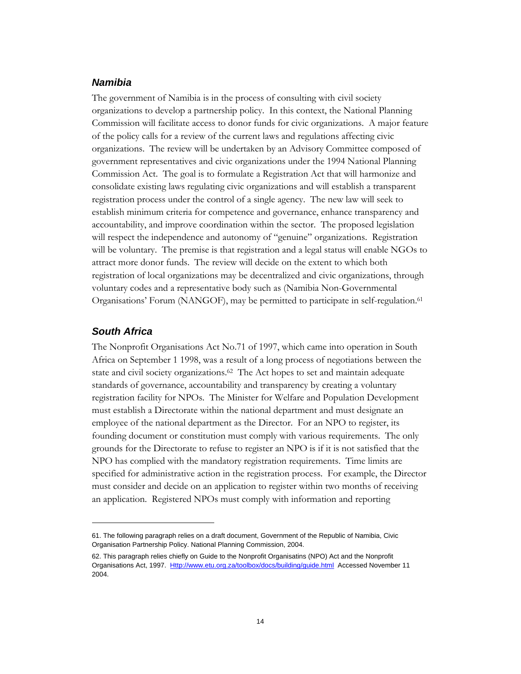## *Namibia*

The government of Namibia is in the process of consulting with civil society organizations to develop a partnership policy. In this context, the National Planning Commission will facilitate access to donor funds for civic organizations. A major feature of the policy calls for a review of the current laws and regulations affecting civic organizations. The review will be undertaken by an Advisory Committee composed of government representatives and civic organizations under the 1994 National Planning Commission Act. The goal is to formulate a Registration Act that will harmonize and consolidate existing laws regulating civic organizations and will establish a transparent registration process under the control of a single agency. The new law will seek to establish minimum criteria for competence and governance, enhance transparency and accountability, and improve coordination within the sector. The proposed legislation will respect the independence and autonomy of "genuine" organizations. Registration will be voluntary. The premise is that registration and a legal status will enable NGOs to attract more donor funds. The review will decide on the extent to which both registration of local organizations may be decentralized and civic organizations, through voluntary codes and a representative body such as (Namibia Non-Governmental Organisations' Forum (NANGOF), may be permitted to participate in self-regulation.61

## *South Africa*

 $\overline{a}$ 

The Nonprofit Organisations Act No.71 of 1997, which came into operation in South Africa on September 1 1998, was a result of a long process of negotiations between the state and civil society organizations.62 The Act hopes to set and maintain adequate standards of governance, accountability and transparency by creating a voluntary registration facility for NPOs. The Minister for Welfare and Population Development must establish a Directorate within the national department and must designate an employee of the national department as the Director. For an NPO to register, its founding document or constitution must comply with various requirements. The only grounds for the Directorate to refuse to register an NPO is if it is not satisfied that the NPO has complied with the mandatory registration requirements. Time limits are specified for administrative action in the registration process. For example, the Director must consider and decide on an application to register within two months of receiving an application. Registered NPOs must comply with information and reporting

<sup>61.</sup> The following paragraph relies on a draft document, Government of the Republic of Namibia, Civic Organisation Partnership Policy. National Planning Commission, 2004.

<sup>62.</sup> This paragraph relies chiefly on Guide to the Nonprofit Organisatins (NPO) Act and the Nonprofit Organisations Act, 1997. Http://www.etu.org.za/toolbox/docs/building/guide.html Accessed November 11 2004.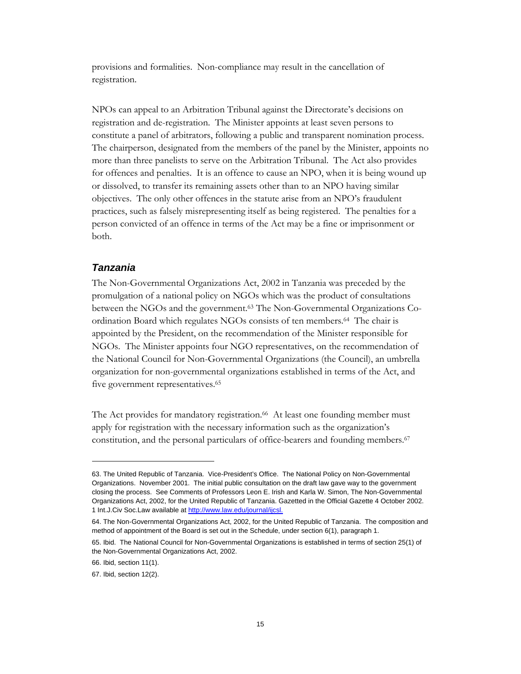provisions and formalities. Non-compliance may result in the cancellation of registration.

NPOs can appeal to an Arbitration Tribunal against the Directorate's decisions on registration and de-registration. The Minister appoints at least seven persons to constitute a panel of arbitrators, following a public and transparent nomination process. The chairperson, designated from the members of the panel by the Minister, appoints no more than three panelists to serve on the Arbitration Tribunal. The Act also provides for offences and penalties. It is an offence to cause an NPO, when it is being wound up or dissolved, to transfer its remaining assets other than to an NPO having similar objectives. The only other offences in the statute arise from an NPO's fraudulent practices, such as falsely misrepresenting itself as being registered. The penalties for a person convicted of an offence in terms of the Act may be a fine or imprisonment or both.

## *Tanzania*

The Non-Governmental Organizations Act, 2002 in Tanzania was preceded by the promulgation of a national policy on NGOs which was the product of consultations between the NGOs and the government.63 The Non-Governmental Organizations Coordination Board which regulates NGOs consists of ten members.64 The chair is appointed by the President, on the recommendation of the Minister responsible for NGOs. The Minister appoints four NGO representatives, on the recommendation of the National Council for Non-Governmental Organizations (the Council), an umbrella organization for non-governmental organizations established in terms of the Act, and five government representatives.<sup>65</sup>

The Act provides for mandatory registration.<sup>66</sup> At least one founding member must apply for registration with the necessary information such as the organization's constitution, and the personal particulars of office-bearers and founding members.<sup>67</sup>

<sup>63.</sup> The United Republic of Tanzania. Vice-President's Office. The National Policy on Non-Governmental Organizations. November 2001. The initial public consultation on the draft law gave way to the government closing the process. See Comments of Professors Leon E. Irish and Karla W. Simon, The Non-Governmental Organizations Act, 2002, for the United Republic of Tanzania. Gazetted in the Official Gazette 4 October 2002. 1 Int.J.Civ Soc.Law available at http://www.law.edu/journal/ijcsl.

<sup>64.</sup> The Non-Governmental Organizations Act, 2002, for the United Republic of Tanzania. The composition and method of appointment of the Board is set out in the Schedule, under section 6(1), paragraph 1.

<sup>65.</sup> Ibid. The National Council for Non-Governmental Organizations is established in terms of section 25(1) of the Non-Governmental Organizations Act, 2002.

<sup>66.</sup> Ibid, section 11(1).

<sup>67.</sup> Ibid, section 12(2).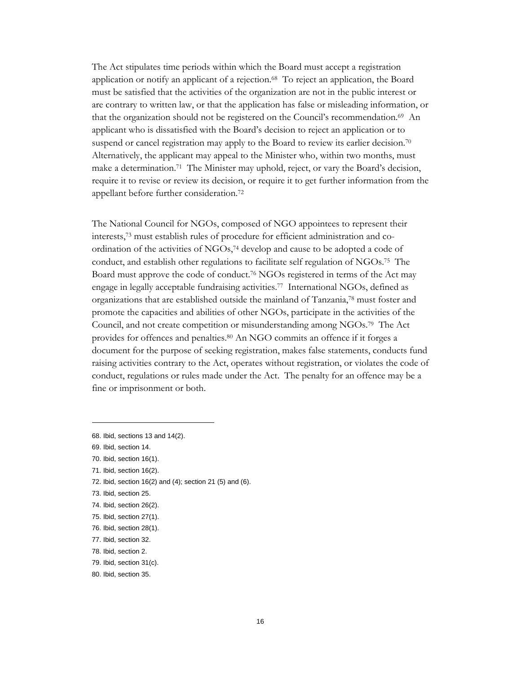The Act stipulates time periods within which the Board must accept a registration application or notify an applicant of a rejection.68 To reject an application, the Board must be satisfied that the activities of the organization are not in the public interest or are contrary to written law, or that the application has false or misleading information, or that the organization should not be registered on the Council's recommendation.<sup>69</sup> An applicant who is dissatisfied with the Board's decision to reject an application or to suspend or cancel registration may apply to the Board to review its earlier decision.<sup>70</sup> Alternatively, the applicant may appeal to the Minister who, within two months, must make a determination.<sup>71</sup> The Minister may uphold, reject, or vary the Board's decision, require it to revise or review its decision, or require it to get further information from the appellant before further consideration.72

The National Council for NGOs, composed of NGO appointees to represent their interests,73 must establish rules of procedure for efficient administration and coordination of the activities of NGOs,74 develop and cause to be adopted a code of conduct, and establish other regulations to facilitate self regulation of NGOs.75 The Board must approve the code of conduct.76 NGOs registered in terms of the Act may engage in legally acceptable fundraising activities.77 International NGOs, defined as organizations that are established outside the mainland of Tanzania,78 must foster and promote the capacities and abilities of other NGOs, participate in the activities of the Council, and not create competition or misunderstanding among NGOs.79 The Act provides for offences and penalties.80 An NGO commits an offence if it forges a document for the purpose of seeking registration, makes false statements, conducts fund raising activities contrary to the Act, operates without registration, or violates the code of conduct, regulations or rules made under the Act. The penalty for an offence may be a fine or imprisonment or both.

 $\overline{a}$ 

72. Ibid, section 16(2) and (4); section 21 (5) and (6).

<sup>68.</sup> Ibid, sections 13 and 14(2).

<sup>69.</sup> Ibid, section 14.

<sup>70.</sup> Ibid, section 16(1).

<sup>71.</sup> Ibid, section 16(2).

<sup>73.</sup> Ibid, section 25.

<sup>74.</sup> Ibid, section 26(2).

<sup>75.</sup> Ibid, section 27(1).

<sup>76.</sup> Ibid, section 28(1).

<sup>77.</sup> Ibid, section 32.

<sup>78.</sup> Ibid, section 2.

<sup>79.</sup> Ibid, section 31(c).

<sup>80.</sup> Ibid, section 35.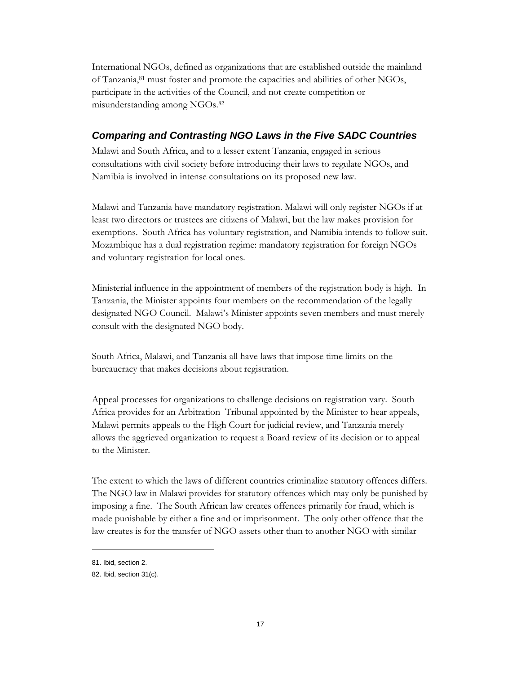International NGOs, defined as organizations that are established outside the mainland of Tanzania,81 must foster and promote the capacities and abilities of other NGOs, participate in the activities of the Council, and not create competition or misunderstanding among NGOs.82

## *Comparing and Contrasting NGO Laws in the Five SADC Countries*

Malawi and South Africa, and to a lesser extent Tanzania, engaged in serious consultations with civil society before introducing their laws to regulate NGOs, and Namibia is involved in intense consultations on its proposed new law.

Malawi and Tanzania have mandatory registration. Malawi will only register NGOs if at least two directors or trustees are citizens of Malawi, but the law makes provision for exemptions. South Africa has voluntary registration, and Namibia intends to follow suit. Mozambique has a dual registration regime: mandatory registration for foreign NGOs and voluntary registration for local ones.

Ministerial influence in the appointment of members of the registration body is high. In Tanzania, the Minister appoints four members on the recommendation of the legally designated NGO Council. Malawi's Minister appoints seven members and must merely consult with the designated NGO body.

South Africa, Malawi, and Tanzania all have laws that impose time limits on the bureaucracy that makes decisions about registration.

Appeal processes for organizations to challenge decisions on registration vary. South Africa provides for an Arbitration Tribunal appointed by the Minister to hear appeals, Malawi permits appeals to the High Court for judicial review, and Tanzania merely allows the aggrieved organization to request a Board review of its decision or to appeal to the Minister.

The extent to which the laws of different countries criminalize statutory offences differs. The NGO law in Malawi provides for statutory offences which may only be punished by imposing a fine. The South African law creates offences primarily for fraud, which is made punishable by either a fine and or imprisonment. The only other offence that the law creates is for the transfer of NGO assets other than to another NGO with similar

<sup>81.</sup> Ibid, section 2.

<sup>82.</sup> Ibid, section 31(c).